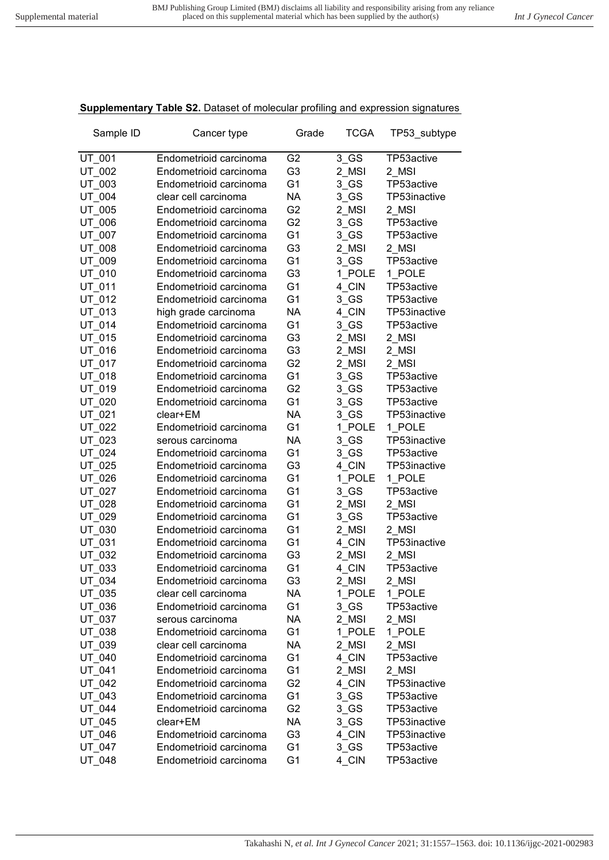## **Supplementary Table S2.** Dataset of molecular profiling and expression signatures

| Sample ID | Cancer type            | Grade          | <b>TCGA</b> | TP53_subtype |
|-----------|------------------------|----------------|-------------|--------------|
| UT 001    | Endometrioid carcinoma | G <sub>2</sub> | $3$ GS      | TP53active   |
| UT 002    | Endometrioid carcinoma | G <sub>3</sub> | 2 MSI       | 2 MSI        |
| UT 003    | Endometrioid carcinoma | G <sub>1</sub> | 3 GS        | TP53active   |
| UT 004    | clear cell carcinoma   | <b>NA</b>      | 3 GS        | TP53inactive |
| UT_005    | Endometrioid carcinoma | G <sub>2</sub> | 2 MSI       | 2 MSI        |
| UT 006    | Endometrioid carcinoma | G <sub>2</sub> | 3 GS        | TP53active   |
| UT_007    | Endometrioid carcinoma | G <sub>1</sub> | $3$ GS      | TP53active   |
| UT_008    | Endometrioid carcinoma | G <sub>3</sub> | 2 MSI       | 2 MSI        |
| UT_009    | Endometrioid carcinoma | G <sub>1</sub> | 3 GS        | TP53active   |
| UT_010    | Endometrioid carcinoma | G <sub>3</sub> | 1 POLE      | 1 POLE       |
| UT 011    | Endometrioid carcinoma | G <sub>1</sub> | 4 CIN       | TP53active   |
| UT 012    | Endometrioid carcinoma | G <sub>1</sub> | 3 GS        | TP53active   |
| UT 013    | high grade carcinoma   | <b>NA</b>      | 4 CIN       | TP53inactive |
| UT 014    | Endometrioid carcinoma | G <sub>1</sub> | 3 GS        | TP53active   |
| UT 015    | Endometrioid carcinoma | G <sub>3</sub> | 2 MSI       | 2 MSI        |
| UT 016    | Endometrioid carcinoma | G <sub>3</sub> | 2 MSI       | 2 MSI        |
| UT_017    | Endometrioid carcinoma | G <sub>2</sub> | 2 MSI       | 2_MSI        |
| UT 018    | Endometrioid carcinoma | G <sub>1</sub> | 3 GS        | TP53active   |
| UT_019    | Endometrioid carcinoma | G <sub>2</sub> | 3 GS        | TP53active   |
| UT_020    | Endometrioid carcinoma | G <sub>1</sub> | $3$ GS      | TP53active   |
| UT_021    | clear+EM               | NA             | 3 GS        | TP53inactive |
| UT 022    | Endometrioid carcinoma | G <sub>1</sub> | 1 POLE      | 1 POLE       |
| UT 023    | serous carcinoma       | NA             | 3 GS        | TP53inactive |
| UT 024    | Endometrioid carcinoma | G <sub>1</sub> | 3 GS        | TP53active   |
| UT 025    | Endometrioid carcinoma | G <sub>3</sub> | 4 CIN       | TP53inactive |
| UT 026    | Endometrioid carcinoma | G <sub>1</sub> | 1 POLE      | 1 POLE       |
| UT 027    | Endometrioid carcinoma | G <sub>1</sub> | 3 GS        | TP53active   |
| UT 028    | Endometrioid carcinoma | G <sub>1</sub> | 2 MSI       | 2 MSI        |
| UT_029    | Endometrioid carcinoma | G <sub>1</sub> | $3$ GS      | TP53active   |
| UT_030    | Endometrioid carcinoma | G <sub>1</sub> | 2 MSI       | 2 MSI        |
| UT_031    | Endometrioid carcinoma | G <sub>1</sub> | 4_CIN       | TP53inactive |
| UT 032    | Endometrioid carcinoma | G <sub>3</sub> | 2 MSI       | 2 MSI        |
| UT_033    | Endometrioid carcinoma | G <sub>1</sub> | 4 CIN       | TP53active   |
| UT_034    | Endometrioid carcinoma | G3             | 2_MSI       | 2_MSI        |
| UT 035    | clear cell carcinoma   | NA.            | 1 POLE      | 1_POLE       |
| UT_036    | Endometrioid carcinoma | G <sub>1</sub> | $3$ GS      | TP53active   |
| UT_037    | serous carcinoma       | <b>NA</b>      | 2 MSI       | 2 MSI        |
| UT_038    | Endometrioid carcinoma | G <sub>1</sub> | 1 POLE      | 1 POLE       |
| UT_039    | clear cell carcinoma   | NA             | 2 MSI       | 2 MSI        |
| UT 040    | Endometrioid carcinoma | G <sub>1</sub> | 4 CIN       | TP53active   |
| UT 041    | Endometrioid carcinoma | G <sub>1</sub> | 2 MSI       | 2 MSI        |
| UT_042    | Endometrioid carcinoma | G <sub>2</sub> | 4 CIN       | TP53inactive |
| UT_043    | Endometrioid carcinoma | G <sub>1</sub> | $3$ GS      | TP53active   |
| UT 044    | Endometrioid carcinoma | G <sub>2</sub> | $3$ GS      | TP53active   |
| UT_045    | clear+EM               | <b>NA</b>      | $3$ GS      | TP53inactive |
| UT 046    | Endometrioid carcinoma | G <sub>3</sub> | 4 CIN       | TP53inactive |
| UT_047    | Endometrioid carcinoma | G <sub>1</sub> | $3$ GS      | TP53active   |
| UT_048    | Endometrioid carcinoma | G <sub>1</sub> | 4_CIN       | TP53active   |
|           |                        |                |             |              |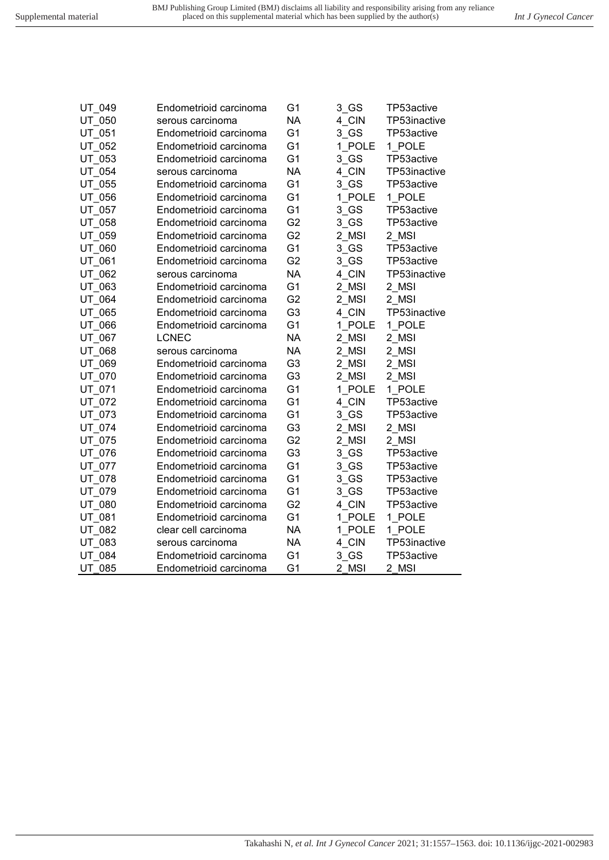| UT 049 | Endometrioid carcinoma | G <sub>1</sub> | 3 GS   | TP53active   |
|--------|------------------------|----------------|--------|--------------|
| UT 050 | serous carcinoma       | <b>NA</b>      | 4 CIN  | TP53inactive |
| UT_051 | Endometrioid carcinoma | G <sub>1</sub> | $3$ GS | TP53active   |
| UT 052 | Endometrioid carcinoma | G <sub>1</sub> | 1 POLE | 1 POLE       |
| UT_053 | Endometrioid carcinoma | G <sub>1</sub> | $3$ GS | TP53active   |
| UT_054 | serous carcinoma       | <b>NA</b>      | 4 CIN  | TP53inactive |
| UT_055 | Endometrioid carcinoma | G <sub>1</sub> | $3$ GS | TP53active   |
| UT_056 | Endometrioid carcinoma | G <sub>1</sub> | 1 POLE | 1 POLE       |
| UT 057 | Endometrioid carcinoma | G <sub>1</sub> | 3 GS   | TP53active   |
| UT 058 | Endometrioid carcinoma | G <sub>2</sub> | 3 GS   | TP53active   |
| UT 059 | Endometrioid carcinoma | G <sub>2</sub> | 2 MSI  | 2 MSI        |
| UT 060 | Endometrioid carcinoma | G <sub>1</sub> | 3 GS   | TP53active   |
| UT 061 | Endometrioid carcinoma | G <sub>2</sub> | 3 GS   | TP53active   |
| UT 062 | serous carcinoma       | <b>NA</b>      | 4 CIN  | TP53inactive |
| UT 063 | Endometrioid carcinoma | G <sub>1</sub> | 2_MSI  | 2_MSI        |
| UT 064 | Endometrioid carcinoma | G <sub>2</sub> | 2 MSI  | 2 MSI        |
| UT 065 | Endometrioid carcinoma | G <sub>3</sub> | 4 CIN  | TP53inactive |
| UT 066 | Endometrioid carcinoma | G <sub>1</sub> | 1 POLE | 1 POLE       |
| UT 067 | <b>LCNEC</b>           | <b>NA</b>      | 2 MSI  | 2 MSI        |
| UT 068 | serous carcinoma       | <b>NA</b>      | 2_MSI  | 2 MSI        |
| UT 069 | Endometrioid carcinoma | G <sub>3</sub> | 2 MSI  | 2 MSI        |
| UT 070 | Endometrioid carcinoma | G <sub>3</sub> | 2 MSI  | 2 MSI        |
| UT 071 | Endometrioid carcinoma | G <sub>1</sub> | 1 POLE | 1 POLE       |
| UT 072 | Endometrioid carcinoma | G <sub>1</sub> | 4 CIN  | TP53active   |
| UT 073 | Endometrioid carcinoma | G <sub>1</sub> | 3 GS   | TP53active   |
| UT 074 | Endometrioid carcinoma | G <sub>3</sub> | 2 MSI  | 2 MSI        |
| UT 075 | Endometrioid carcinoma | G <sub>2</sub> | 2 MSI  | 2 MSI        |
| UT 076 | Endometrioid carcinoma | G <sub>3</sub> | $3$ GS | TP53active   |
| UT 077 | Endometrioid carcinoma | G <sub>1</sub> | 3 GS   | TP53active   |
| UT 078 | Endometrioid carcinoma | G <sub>1</sub> | $3$ GS | TP53active   |
| UT 079 | Endometrioid carcinoma | G <sub>1</sub> | 3 GS   | TP53active   |
| UT 080 | Endometrioid carcinoma | G <sub>2</sub> | 4 CIN  | TP53active   |
| UT 081 | Endometrioid carcinoma | G <sub>1</sub> | 1 POLE | 1 POLE       |
| UT_082 | clear cell carcinoma   | <b>NA</b>      | 1 POLE | 1_POLE       |
| UT 083 | serous carcinoma       | <b>NA</b>      | 4 CIN  | TP53inactive |
| UT 084 | Endometrioid carcinoma | G <sub>1</sub> | $3$ GS | TP53active   |
| UT 085 | Endometrioid carcinoma | G <sub>1</sub> | 2 MSI  | 2 MSI        |
|        |                        |                |        |              |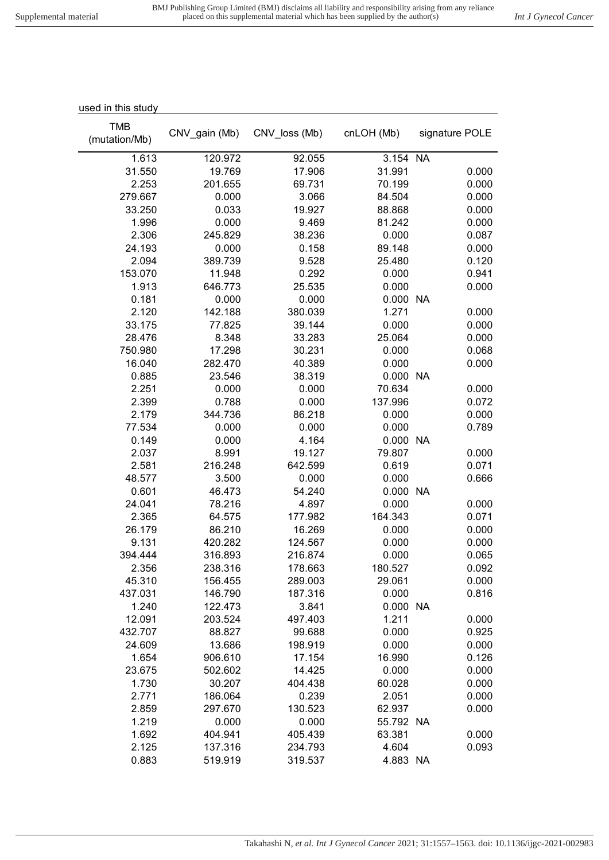| used in this study          |               |               |            |                |
|-----------------------------|---------------|---------------|------------|----------------|
| <b>TMB</b><br>(mutation/Mb) | CNV_gain (Mb) | CNV loss (Mb) | cnLOH (Mb) | signature POLE |
| 1.613                       | 120.972       | 92.055        | 3.154 NA   |                |
| 31.550                      | 19.769        | 17.906        | 31.991     | 0.000          |
| 2.253                       | 201.655       | 69.731        | 70.199     | 0.000          |
| 279.667                     | 0.000         | 3.066         | 84.504     | 0.000          |
| 33.250                      | 0.033         | 19.927        | 88.868     | 0.000          |
| 1.996                       | 0.000         | 9.469         | 81.242     | 0.000          |
| 2.306                       | 245.829       | 38.236        | 0.000      | 0.087          |
| 24.193                      | 0.000         | 0.158         | 89.148     | 0.000          |
| 2.094                       | 389.739       | 9.528         | 25.480     | 0.120          |
| 153.070                     | 11.948        | 0.292         | 0.000      | 0.941          |
| 1.913                       | 646.773       | 25.535        | 0.000      | 0.000          |
| 0.181                       | 0.000         | 0.000         | 0.000      | <b>NA</b>      |
| 2.120                       | 142.188       | 380.039       | 1.271      | 0.000          |
| 33.175                      | 77.825        | 39.144        | 0.000      | 0.000          |
| 28.476                      | 8.348         | 33.283        | 25.064     | 0.000          |
| 750.980                     | 17.298        | 30.231        | 0.000      | 0.068          |
| 16.040                      | 282.470       | 40.389        | 0.000      | 0.000          |
| 0.885                       | 23.546        | 38.319        | 0.000 NA   |                |
| 2.251                       | 0.000         | 0.000         | 70.634     | 0.000          |
| 2.399                       | 0.788         | 0.000         | 137.996    | 0.072          |
| 2.179                       | 344.736       | 86.218        | 0.000      | 0.000          |
| 77.534                      | 0.000         | 0.000         | 0.000      | 0.789          |
| 0.149                       | 0.000         | 4.164         | 0.000      | <b>NA</b>      |
| 2.037                       | 8.991         | 19.127        | 79.807     | 0.000          |
| 2.581                       | 216.248       | 642.599       | 0.619      | 0.071          |
| 48.577                      | 3.500         | 0.000         | 0.000      | 0.666          |
| 0.601                       | 46.473        | 54.240        | 0.000 NA   |                |
| 24.041                      | 78.216        | 4.897         | 0.000      | 0.000          |
| 2.365                       | 64.575        | 177.982       | 164.343    | 0.071          |
| 26.179                      | 86.210        | 16.269        | 0.000      | 0.000          |
| 9.131                       | 420.282       | 124.567       | 0.000      | 0.000          |
| 394.444                     | 316.893       | 216.874       | 0.000      | 0.065          |
| 2.356                       | 238.316       | 178.663       | 180.527    | 0.092          |
| 45.310                      | 156.455       | 289.003       | 29.061     | 0.000          |
| 437.031                     | 146.790       | 187.316       | 0.000      | 0.816          |
| 1.240                       | 122.473       | 3.841         | 0.000 NA   |                |
| 12.091                      | 203.524       | 497.403       | 1.211      | 0.000          |
| 432.707                     | 88.827        | 99.688        | 0.000      | 0.925          |
| 24.609                      | 13.686        | 198.919       | 0.000      | 0.000          |
| 1.654                       | 906.610       | 17.154        | 16.990     | 0.126          |
| 23.675                      | 502.602       | 14.425        | 0.000      | 0.000          |
| 1.730                       | 30.207        | 404.438       | 60.028     | 0.000          |
| 2.771                       | 186.064       | 0.239         | 2.051      | 0.000          |
| 2.859                       | 297.670       | 130.523       | 62.937     | 0.000          |
| 1.219                       | 0.000         | 0.000         | 55.792 NA  |                |
| 1.692                       | 404.941       | 405.439       | 63.381     | 0.000          |
| 2.125                       | 137.316       | 234.793       | 4.604      | 0.093          |
| 0.883                       | 519.919       | 319.537       | 4.883 NA   |                |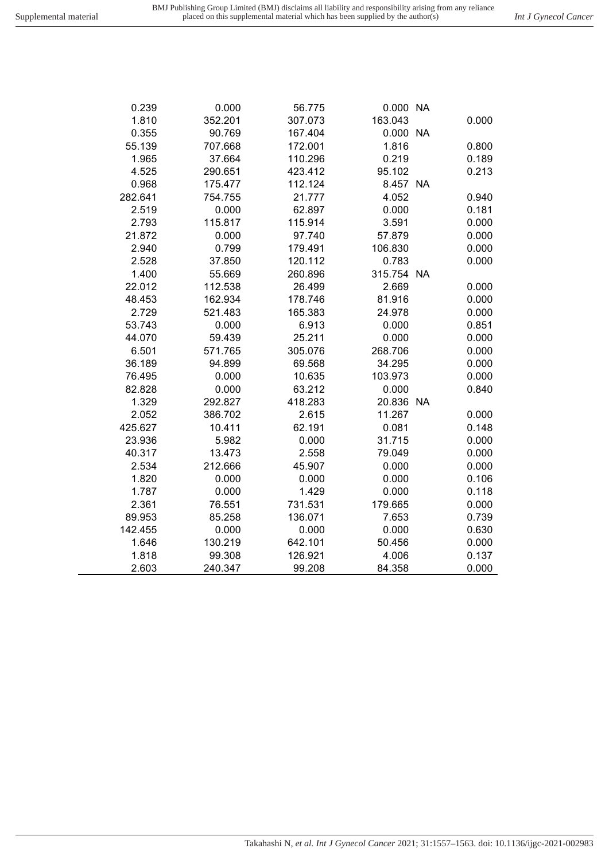| 0.239   | 0.000   | 56.775  | 0.000 NA   |       |
|---------|---------|---------|------------|-------|
| 1.810   | 352.201 | 307.073 | 163.043    | 0.000 |
| 0.355   | 90.769  | 167.404 | 0.000 NA   |       |
| 55.139  | 707.668 | 172.001 | 1.816      | 0.800 |
| 1.965   | 37.664  | 110.296 | 0.219      | 0.189 |
| 4.525   | 290.651 | 423.412 | 95.102     | 0.213 |
| 0.968   | 175.477 | 112.124 | 8.457 NA   |       |
| 282.641 | 754.755 | 21.777  | 4.052      | 0.940 |
| 2.519   | 0.000   | 62.897  | 0.000      | 0.181 |
| 2.793   | 115.817 | 115.914 | 3.591      | 0.000 |
| 21.872  | 0.000   | 97.740  | 57.879     | 0.000 |
| 2.940   | 0.799   | 179.491 | 106.830    | 0.000 |
| 2.528   | 37.850  | 120.112 | 0.783      | 0.000 |
| 1.400   | 55.669  | 260.896 | 315.754 NA |       |
| 22.012  | 112.538 | 26.499  | 2.669      | 0.000 |
| 48.453  | 162.934 | 178.746 | 81.916     | 0.000 |
| 2.729   | 521.483 | 165.383 | 24.978     | 0.000 |
| 53.743  | 0.000   | 6.913   | 0.000      | 0.851 |
| 44.070  | 59.439  | 25.211  | 0.000      | 0.000 |
| 6.501   | 571.765 | 305.076 | 268.706    | 0.000 |
| 36.189  | 94.899  | 69.568  | 34.295     | 0.000 |
| 76.495  | 0.000   | 10.635  | 103.973    | 0.000 |
| 82.828  | 0.000   | 63.212  | 0.000      | 0.840 |
| 1.329   | 292.827 | 418.283 | 20.836 NA  |       |
| 2.052   | 386.702 | 2.615   | 11.267     | 0.000 |
| 425.627 | 10.411  | 62.191  | 0.081      | 0.148 |
| 23.936  | 5.982   | 0.000   | 31.715     | 0.000 |
| 40.317  | 13.473  | 2.558   | 79.049     | 0.000 |
| 2.534   | 212.666 | 45.907  | 0.000      | 0.000 |
| 1.820   | 0.000   | 0.000   | 0.000      | 0.106 |
| 1.787   | 0.000   | 1.429   | 0.000      | 0.118 |
| 2.361   | 76.551  | 731.531 | 179.665    | 0.000 |
| 89.953  | 85.258  | 136.071 | 7.653      | 0.739 |
| 142.455 | 0.000   | 0.000   | 0.000      | 0.630 |
| 1.646   | 130.219 | 642.101 | 50.456     | 0.000 |
| 1.818   | 99.308  | 126.921 | 4.006      | 0.137 |
| 2.603   | 240.347 | 99.208  | 84.358     | 0.000 |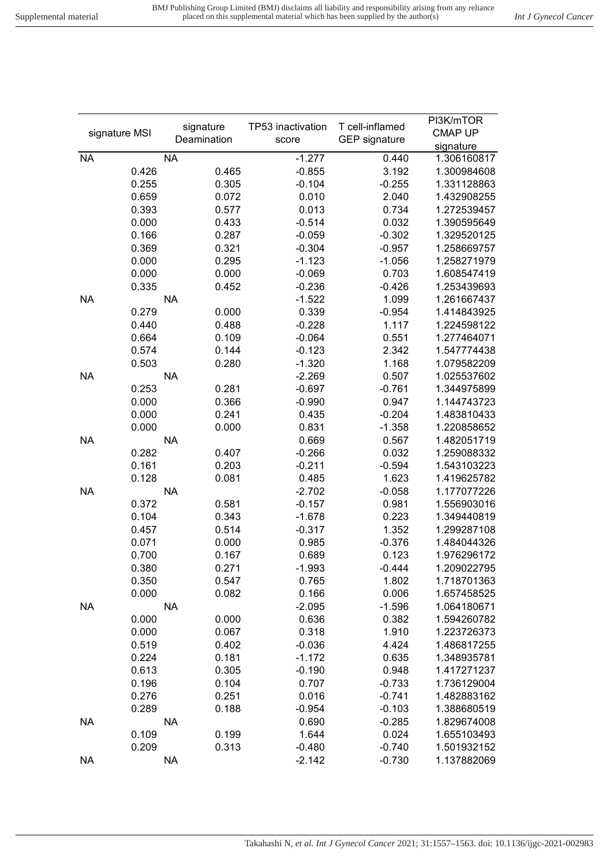| signature MSI | signature   |       | TP53 inactivation | T cell-inflamed      | PI3K/mTOR<br><b>CMAP UP</b> |
|---------------|-------------|-------|-------------------|----------------------|-----------------------------|
|               | Deamination |       | score             | <b>GEP</b> signature | signature                   |
| <b>NA</b>     | <b>NA</b>   |       | $-1.277$          | 0.440                | 1.306160817                 |
| 0.426         |             | 0.465 | $-0.855$          | 3.192                | 1.300984608                 |
| 0.255         |             | 0.305 | $-0.104$          | $-0.255$             | 1.331128863                 |
| 0.659         |             | 0.072 | 0.010             | 2.040                | 1.432908255                 |
| 0.393         |             | 0.577 | 0.013             | 0.734                | 1.272539457                 |
| 0.000         |             | 0.433 | $-0.514$          | 0.032                | 1.390595649                 |
| 0.166         |             | 0.287 | $-0.059$          | $-0.302$             | 1.329520125                 |
| 0.369         |             | 0.321 | $-0.304$          | $-0.957$             | 1.258669757                 |
| 0.000         |             | 0.295 | $-1.123$          | $-1.056$             | 1.258271979                 |
| 0.000         |             | 0.000 | $-0.069$          | 0.703                | 1.608547419                 |
| 0.335         |             | 0.452 | $-0.236$          | $-0.426$             | 1.253439693                 |
| <b>NA</b>     | <b>NA</b>   |       | $-1.522$          | 1.099                | 1.261667437                 |
| 0.279         |             | 0.000 | 0.339             | $-0.954$             | 1.414843925                 |
| 0.440         |             | 0.488 | $-0.228$          | 1.117                | 1.224598122                 |
| 0.664         |             | 0.109 | $-0.064$          | 0.551                | 1.277464071                 |
| 0.574         |             | 0.144 | $-0.123$          | 2.342                | 1.547774438                 |
| 0.503         |             | 0.280 | $-1.320$          | 1.168                | 1.079582209                 |
| <b>NA</b>     | <b>NA</b>   |       | $-2.269$          | 0.507                | 1.025537602                 |
| 0.253         |             | 0.281 | $-0.697$          | $-0.761$             | 1.344975899                 |
| 0.000         |             | 0.366 | $-0.990$          | 0.947                | 1.144743723                 |
| 0.000         |             | 0.241 | 0.435             | $-0.204$             | 1.483810433                 |
| 0.000         |             | 0.000 | 0.831             | $-1.358$             | 1.220858652                 |
| <b>NA</b>     | <b>NA</b>   |       | 0.669             | 0.567                | 1.482051719                 |
| 0.282         |             | 0.407 | $-0.266$          | 0.032                | 1.259088332                 |
| 0.161         |             | 0.203 | $-0.211$          | $-0.594$             | 1.543103223                 |
| 0.128         |             | 0.081 | 0.485             | 1.623                | 1.419625782                 |
| <b>NA</b>     | <b>NA</b>   |       | $-2.702$          | $-0.058$             | 1.177077226                 |
| 0.372         |             | 0.581 | $-0.157$          | 0.981                | 1.556903016                 |
| 0.104         |             | 0.343 | $-1.678$          | 0.223                | 1.349440819                 |
| 0.457         |             | 0.514 | $-0.317$          | 1.352                | 1.299287108                 |
| 0.071         |             | 0.000 | 0.985             | $-0.376$             | 1.484044326                 |
| 0.700         |             | 0.167 | 0.689             | 0.123                | 1.976296172                 |
| 0.380         |             | 0.271 | $-1.993$          | $-0.444$             | 1.209022795                 |
| 0.350         |             | 0.547 | 0.765             | 1.802                | 1.718701363                 |
| 0.000         |             | 0.082 | 0.166             | 0.006                | 1.657458525                 |
| <b>NA</b>     | <b>NA</b>   |       | $-2.095$          | $-1.596$             | 1.064180671                 |
| 0.000         |             | 0.000 | 0.636             | 0.382                | 1.594260782                 |
| 0.000         |             | 0.067 | 0.318             | 1.910                | 1.223726373                 |
| 0.519         |             | 0.402 | $-0.036$          | 4.424                | 1.486817255                 |
| 0.224         |             | 0.181 | $-1.172$          | 0.635                | 1.348935781                 |
| 0.613         |             | 0.305 | $-0.190$          | 0.948                | 1.417271237                 |
| 0.196         |             | 0.104 | 0.707             | $-0.733$             | 1.736129004                 |
| 0.276         |             | 0.251 | 0.016             | $-0.741$             | 1.482883162                 |
| 0.289         |             | 0.188 | $-0.954$          | $-0.103$             | 1.388680519                 |
| <b>NA</b>     | <b>NA</b>   |       | 0.690             | $-0.285$             | 1.829674008                 |
| 0.109         |             | 0.199 | 1.644             | 0.024                | 1.655103493                 |
| 0.209         |             | 0.313 | $-0.480$          | $-0.740$             | 1.501932152                 |
| <b>NA</b>     | <b>NA</b>   |       | $-2.142$          | $-0.730$             | 1.137882069                 |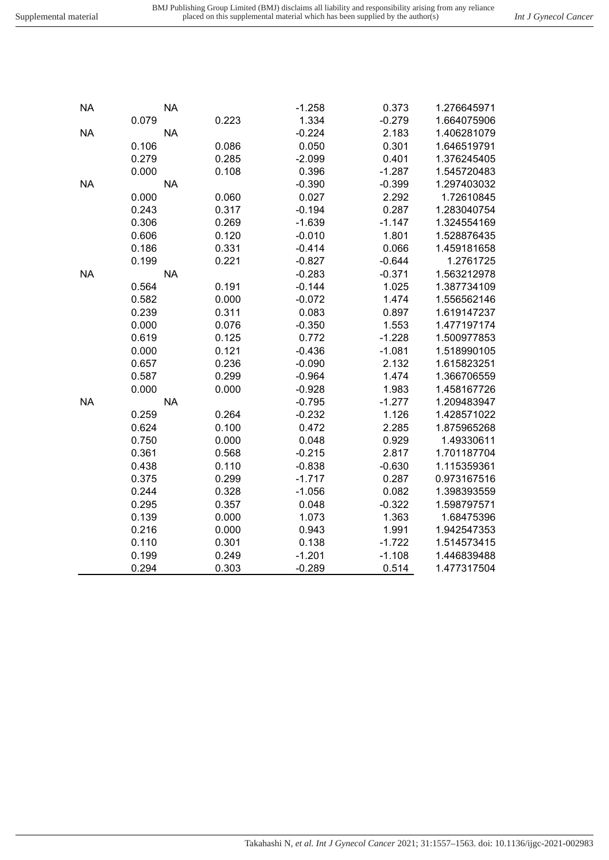| 0.236 | -0.090 | 2.132 | 1.615823251 |  |
|-------|--------|-------|-------------|--|
|       |        |       |             |  |

Takahashi N*, et al. Int J Gynecol Cancer* 2021; 31:1557–1563. doi: 10.1136/ijgc-2021-002983

|           | 0.279     | 0.285 | $-2.099$ | 0.401    | 1.376245405 |
|-----------|-----------|-------|----------|----------|-------------|
|           | 0.000     | 0.108 | 0.396    | $-1.287$ | 1.545720483 |
| <b>NA</b> | <b>NA</b> |       | $-0.390$ | $-0.399$ | 1.297403032 |
|           | 0.000     | 0.060 | 0.027    | 2.292    | 1.72610845  |
|           | 0.243     | 0.317 | $-0.194$ | 0.287    | 1.283040754 |
|           | 0.306     | 0.269 | $-1.639$ | $-1.147$ | 1.324554169 |
|           | 0.606     | 0.120 | $-0.010$ | 1.801    | 1.528876435 |
|           | 0.186     | 0.331 | $-0.414$ | 0.066    | 1.459181658 |
|           | 0.199     | 0.221 | $-0.827$ | $-0.644$ | 1.2761725   |
| <b>NA</b> | <b>NA</b> |       | $-0.283$ | $-0.371$ | 1.563212978 |
|           | 0.564     | 0.191 | $-0.144$ | 1.025    | 1.387734109 |
|           | 0.582     | 0.000 | $-0.072$ | 1.474    | 1.556562146 |
|           | 0.239     | 0.311 | 0.083    | 0.897    | 1.619147237 |
|           | 0.000     | 0.076 | $-0.350$ | 1.553    | 1.477197174 |
|           | 0.619     | 0.125 | 0.772    | $-1.228$ | 1.500977853 |
|           | 0.000     | 0.121 | $-0.436$ | $-1.081$ | 1.518990105 |
|           | 0.657     | 0.236 | $-0.090$ | 2.132    | 1.615823251 |
|           | 0.587     | 0.299 | $-0.964$ | 1.474    | 1.366706559 |
|           | 0.000     | 0.000 | $-0.928$ | 1.983    | 1.458167726 |
| <b>NA</b> | <b>NA</b> |       | $-0.795$ | $-1.277$ | 1.209483947 |
|           | 0.259     | 0.264 | $-0.232$ | 1.126    | 1.428571022 |
|           | 0.624     | 0.100 | 0.472    | 2.285    | 1.875965268 |
|           | 0.750     | 0.000 | 0.048    | 0.929    | 1.49330611  |
|           | 0.361     | 0.568 | $-0.215$ | 2.817    | 1.701187704 |
|           | 0.438     | 0.110 | $-0.838$ | $-0.630$ | 1.115359361 |
|           | 0.375     | 0.299 | $-1.717$ | 0.287    | 0.973167516 |
|           | 0.244     | 0.328 | $-1.056$ | 0.082    | 1.398393559 |
|           | 0.295     | 0.357 | 0.048    | $-0.322$ | 1.598797571 |
|           | 0.139     | 0.000 | 1.073    | 1.363    | 1.68475396  |
|           | 0.216     | 0.000 | 0.943    | 1.991    | 1.942547353 |
|           | 0.110     | 0.301 | 0.138    | $-1.722$ | 1.514573415 |
|           | 0.199     | 0.249 | $-1.201$ | $-1.108$ | 1.446839488 |
|           | 0.294     | 0.303 | $-0.289$ | 0.514    | 1.477317504 |

NA NA -1.258 0.373 1.276645971

NA NA -0.224 2.183 1.406281079

0.079 0.223 1.334 -0.279 1.664075906

0.106 0.086 0.050 0.301 1.646519791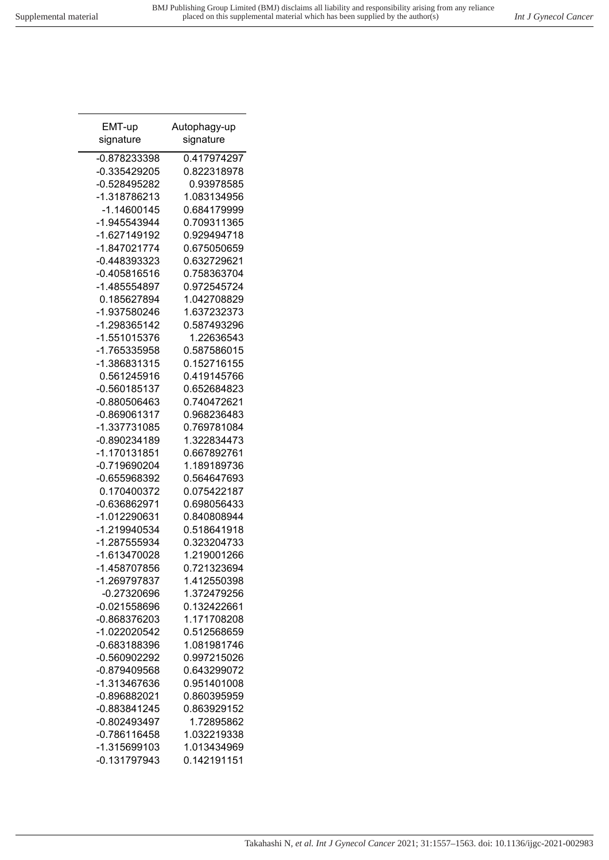| EMT-up         | Autophagy-up |
|----------------|--------------|
| signature      | signature    |
| -0.878233398   | 0.417974297  |
| -0.335429205   | 0.822318978  |
| -0.528495282   | 0.93978585   |
| -1.318786213   | 1.083134956  |
| -1.14600145    | 0.684179999  |
| -1.945543944   | 0.709311365  |
| -1.627149192   | 0.929494718  |
| -1.847021774   | 0.675050659  |
| -0.448393323   | 0.632729621  |
| $-0.405816516$ | 0.758363704  |
| -1.485554897   | 0.972545724  |
| 0.185627894    | 1.042708829  |
| -1.937580246   | 1.637232373  |
| -1.298365142   | 0.587493296  |
| -1.551015376   | 1.22636543   |
| -1.765335958   | 0.587586015  |
| -1.386831315   | 0.152716155  |
| 0.561245916    | 0.419145766  |
| -0.560185137   | 0.652684823  |
| -0.880506463   | 0.740472621  |
| -0.869061317   | 0.968236483  |
| -1.337731085   | 0.769781084  |
| -0.890234189   | 1.322834473  |
| -1.170131851   | 0.667892761  |
| -0.719690204   | 1.189189736  |
| -0.655968392   | 0.564647693  |
| 0.170400372    | 0.075422187  |
| -0.636862971   | 0.698056433  |
| -1.012290631   | 0.840808944  |
| -1.219940534   | 0.518641918  |
| -1.287555934   | 0.323204733  |
| -1.613470028   | 1.219001266  |
| -1.458707856   | 0.721323694  |
| -1.269797837   | 1.412550398  |
| -0.27320696    | 1.372479256  |
| $-0.021558696$ | 0.132422661  |
| -0.868376203   | 1.171708208  |
| -1.022020542   | 0.512568659  |
| -0.683188396   | 1.081981746  |
| -0.560902292   | 0.997215026  |
| -0.879409568   | 0.643299072  |
| -1.313467636   | 0.951401008  |
| -0.896882021   | 0.860395959  |
| -0.883841245   | 0.863929152  |
| -0.802493497   | 1.72895862   |
| $-0.786116458$ | 1.032219338  |
| -1.315699103   | 1.013434969  |
| $-0.131797943$ | 0.142191151  |
|                |              |